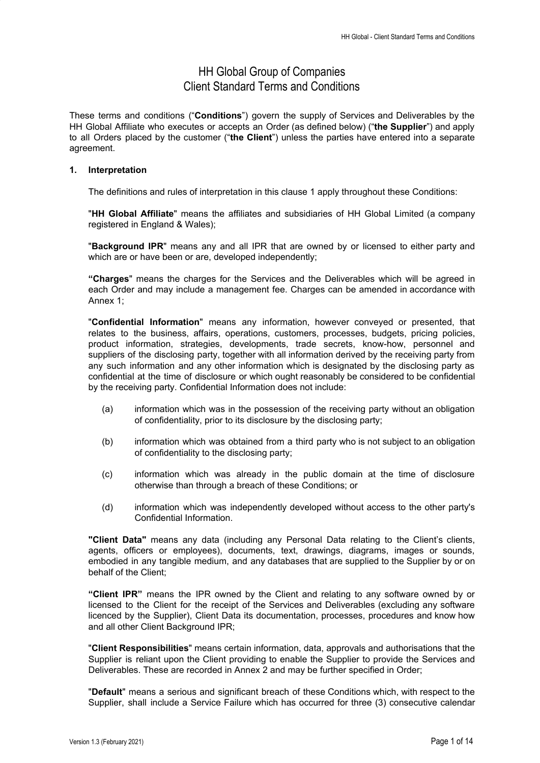# HH Global Group of Companies Client Standard Terms and Conditions

These terms and conditions ("**Conditions**") govern the supply of Services and Deliverables by the HH Global Affiliate who executes or accepts an Order (as defined below) ("**the Supplier**") and apply to all Orders placed by the customer ("**the Client**") unless the parties have entered into a separate agreement.

# **1. Interpretation**

The definitions and rules of interpretation in this clause 1 apply throughout these Conditions:

"**HH Global Affiliate**" means the affiliates and subsidiaries of HH Global Limited (a company registered in England & Wales);

"**Background IPR**" means any and all IPR that are owned by or licensed to either party and which are or have been or are, developed independently;

**"Charges**" means the charges for the Services and the Deliverables which will be agreed in each Order and may include a management fee. Charges can be amended in accordance with Annex 1;

"**Confidential Information**" means any information, however conveyed or presented, that relates to the business, affairs, operations, customers, processes, budgets, pricing policies, product information, strategies, developments, trade secrets, know-how, personnel and suppliers of the disclosing party, together with all information derived by the receiving party from any such information and any other information which is designated by the disclosing party as confidential at the time of disclosure or which ought reasonably be considered to be confidential by the receiving party. Confidential Information does not include:

- (a) information which was in the possession of the receiving party without an obligation of confidentiality, prior to its disclosure by the disclosing party;
- (b) information which was obtained from a third party who is not subject to an obligation of confidentiality to the disclosing party;
- (c) information which was already in the public domain at the time of disclosure otherwise than through a breach of these Conditions; or
- (d) information which was independently developed without access to the other party's Confidential Information.

**"Client Data"** means any data (including any Personal Data relating to the Client's clients, agents, officers or employees), documents, text, drawings, diagrams, images or sounds, embodied in any tangible medium, and any databases that are supplied to the Supplier by or on behalf of the Client;

**"Client IPR"** means the IPR owned by the Client and relating to any software owned by or licensed to the Client for the receipt of the Services and Deliverables (excluding any software licenced by the Supplier), Client Data its documentation, processes, procedures and know how and all other Client Background IPR;

"**Client Responsibilities**" means certain information, data, approvals and authorisations that the Supplier is reliant upon the Client providing to enable the Supplier to provide the Services and Deliverables. These are recorded in Annex 2 and may be further specified in Order;

"**Default**" means a serious and significant breach of these Conditions which, with respect to the Supplier, shall include a Service Failure which has occurred for three (3) consecutive calendar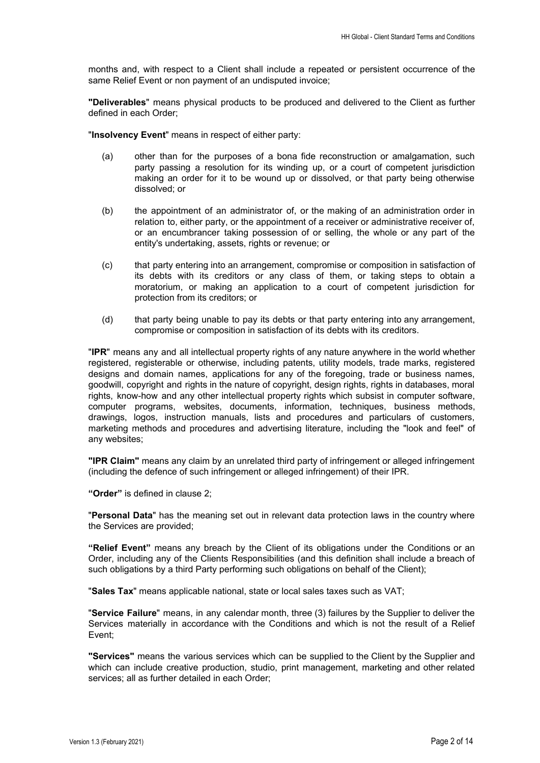months and, with respect to a Client shall include a repeated or persistent occurrence of the same Relief Event or non payment of an undisputed invoice;

**"Deliverables**" means physical products to be produced and delivered to the Client as further defined in each Order;

"**Insolvency Event**" means in respect of either party:

- (a) other than for the purposes of a bona fide reconstruction or amalgamation, such party passing a resolution for its winding up, or a court of competent jurisdiction making an order for it to be wound up or dissolved, or that party being otherwise dissolved; or
- (b) the appointment of an administrator of, or the making of an administration order in relation to, either party, or the appointment of a receiver or administrative receiver of, or an encumbrancer taking possession of or selling, the whole or any part of the entity's undertaking, assets, rights or revenue; or
- (c) that party entering into an arrangement, compromise or composition in satisfaction of its debts with its creditors or any class of them, or taking steps to obtain a moratorium, or making an application to a court of competent jurisdiction for protection from its creditors; or
- (d) that party being unable to pay its debts or that party entering into any arrangement, compromise or composition in satisfaction of its debts with its creditors.

"**IPR**" means any and all intellectual property rights of any nature anywhere in the world whether registered, registerable or otherwise, including patents, utility models, trade marks, registered designs and domain names, applications for any of the foregoing, trade or business names, goodwill, copyright and rights in the nature of copyright, design rights, rights in databases, moral rights, know-how and any other intellectual property rights which subsist in computer software, computer programs, websites, documents, information, techniques, business methods, drawings, logos, instruction manuals, lists and procedures and particulars of customers, marketing methods and procedures and advertising literature, including the "look and feel" of any websites;

**"IPR Claim"** means any claim by an unrelated third party of infringement or alleged infringement (including the defence of such infringement or alleged infringement) of their IPR.

**"Order"** is defined in clause 2;

"**Personal Data**" has the meaning set out in relevant data protection laws in the country where the Services are provided;

**"Relief Event"** means any breach by the Client of its obligations under the Conditions or an Order, including any of the Clients Responsibilities (and this definition shall include a breach of such obligations by a third Party performing such obligations on behalf of the Client);

"**Sales Tax**" means applicable national, state or local sales taxes such as VAT;

"**Service Failure**" means, in any calendar month, three (3) failures by the Supplier to deliver the Services materially in accordance with the Conditions and which is not the result of a Relief Event;

**"Services"** means the various services which can be supplied to the Client by the Supplier and which can include creative production, studio, print management, marketing and other related services; all as further detailed in each Order;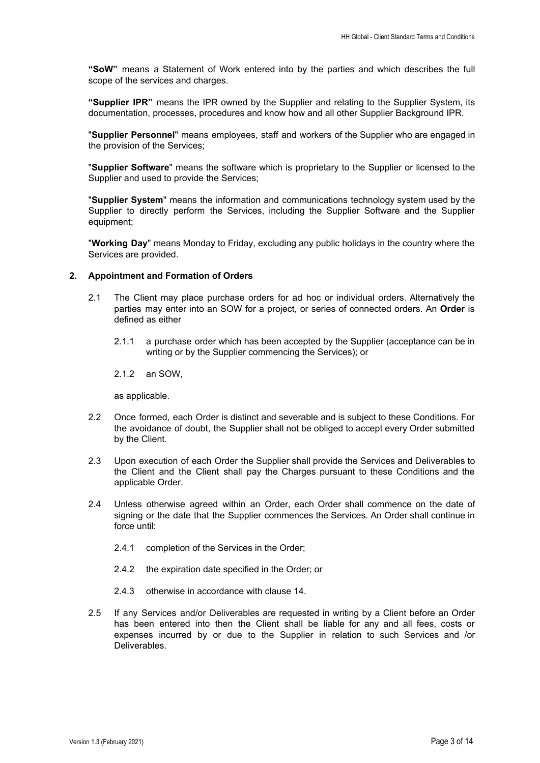**"SoW"** means a Statement of Work entered into by the parties and which describes the full scope of the services and charges.

**"Supplier IPR"** means the IPR owned by the Supplier and relating to the Supplier System, its documentation, processes, procedures and know how and all other Supplier Background IPR.

"**Supplier Personnel**" means employees, staff and workers of the Supplier who are engaged in the provision of the Services;

"**Supplier Software**" means the software which is proprietary to the Supplier or licensed to the Supplier and used to provide the Services;

"**Supplier System**" means the information and communications technology system used by the Supplier to directly perform the Services, including the Supplier Software and the Supplier equipment;

"**Working Day**" means Monday to Friday, excluding any public holidays in the country where the Services are provided.

# **2. Appointment and Formation of Orders**

- 2.1 The Client may place purchase orders for ad hoc or individual orders. Alternatively the parties may enter into an SOW for a project, or series of connected orders. An **Order** is defined as either
	- 2.1.1 a purchase order which has been accepted by the Supplier (acceptance can be in writing or by the Supplier commencing the Services); or
	- 2.1.2 an SOW,

as applicable.

- 2.2 Once formed, each Order is distinct and severable and is subject to these Conditions. For the avoidance of doubt, the Supplier shall not be obliged to accept every Order submitted by the Client.
- 2.3 Upon execution of each Order the Supplier shall provide the Services and Deliverables to the Client and the Client shall pay the Charges pursuant to these Conditions and the applicable Order.
- 2.4 Unless otherwise agreed within an Order, each Order shall commence on the date of signing or the date that the Supplier commences the Services. An Order shall continue in force until:
	- 2.4.1 completion of the Services in the Order;
	- 2.4.2 the expiration date specified in the Order; or
	- 2.4.3 otherwise in accordance with clause 14.
- 2.5 If any Services and/or Deliverables are requested in writing by a Client before an Order has been entered into then the Client shall be liable for any and all fees, costs or expenses incurred by or due to the Supplier in relation to such Services and /or Deliverables.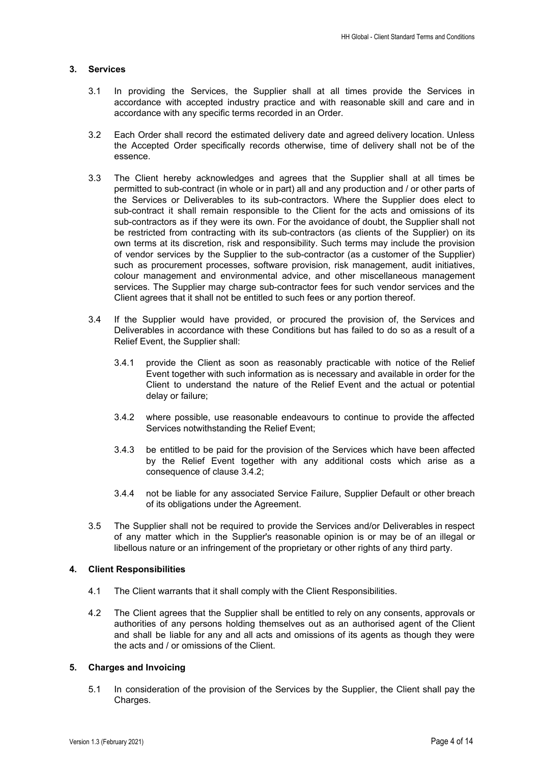# **3. Services**

- 3.1 In providing the Services, the Supplier shall at all times provide the Services in accordance with accepted industry practice and with reasonable skill and care and in accordance with any specific terms recorded in an Order.
- 3.2 Each Order shall record the estimated delivery date and agreed delivery location. Unless the Accepted Order specifically records otherwise, time of delivery shall not be of the essence.
- 3.3 The Client hereby acknowledges and agrees that the Supplier shall at all times be permitted to sub-contract (in whole or in part) all and any production and / or other parts of the Services or Deliverables to its sub-contractors. Where the Supplier does elect to sub-contract it shall remain responsible to the Client for the acts and omissions of its sub-contractors as if they were its own. For the avoidance of doubt, the Supplier shall not be restricted from contracting with its sub-contractors (as clients of the Supplier) on its own terms at its discretion, risk and responsibility. Such terms may include the provision of vendor services by the Supplier to the sub-contractor (as a customer of the Supplier) such as procurement processes, software provision, risk management, audit initiatives, colour management and environmental advice, and other miscellaneous management services. The Supplier may charge sub-contractor fees for such vendor services and the Client agrees that it shall not be entitled to such fees or any portion thereof.
- 3.4 If the Supplier would have provided, or procured the provision of, the Services and Deliverables in accordance with these Conditions but has failed to do so as a result of a Relief Event, the Supplier shall:
	- 3.4.1 provide the Client as soon as reasonably practicable with notice of the Relief Event together with such information as is necessary and available in order for the Client to understand the nature of the Relief Event and the actual or potential delay or failure;
	- 3.4.2 where possible, use reasonable endeavours to continue to provide the affected Services notwithstanding the Relief Event;
	- 3.4.3 be entitled to be paid for the provision of the Services which have been affected by the Relief Event together with any additional costs which arise as a consequence of clause 3.4.2;
	- 3.4.4 not be liable for any associated Service Failure, Supplier Default or other breach of its obligations under the Agreement.
- 3.5 The Supplier shall not be required to provide the Services and/or Deliverables in respect of any matter which in the Supplier's reasonable opinion is or may be of an illegal or libellous nature or an infringement of the proprietary or other rights of any third party.

## **4. Client Responsibilities**

- 4.1 The Client warrants that it shall comply with the Client Responsibilities.
- 4.2 The Client agrees that the Supplier shall be entitled to rely on any consents, approvals or authorities of any persons holding themselves out as an authorised agent of the Client and shall be liable for any and all acts and omissions of its agents as though they were the acts and / or omissions of the Client.

# **5. Charges and Invoicing**

5.1 In consideration of the provision of the Services by the Supplier, the Client shall pay the Charges.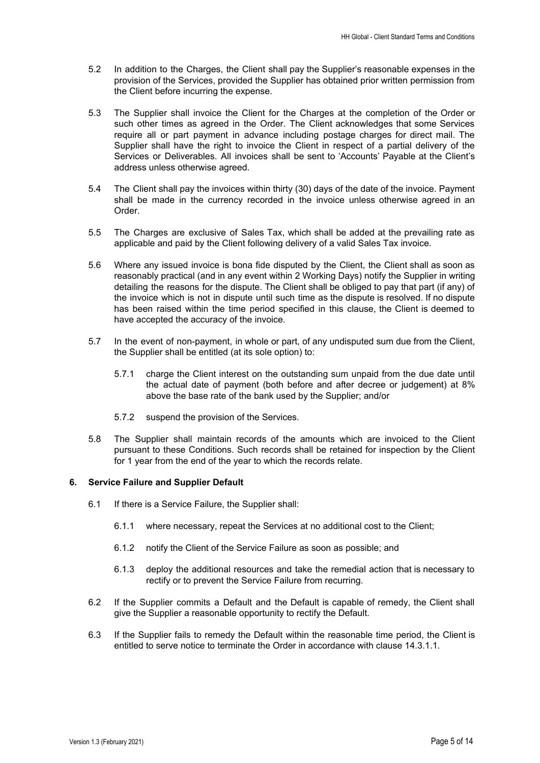- 5.2 In addition to the Charges, the Client shall pay the Supplier's reasonable expenses in the provision of the Services, provided the Supplier has obtained prior written permission from the Client before incurring the expense.
- 5.3 The Supplier shall invoice the Client for the Charges at the completion of the Order or such other times as agreed in the Order. The Client acknowledges that some Services require all or part payment in advance including postage charges for direct mail. The Supplier shall have the right to invoice the Client in respect of a partial delivery of the Services or Deliverables. All invoices shall be sent to 'Accounts' Payable at the Client's address unless otherwise agreed.
- 5.4 The Client shall pay the invoices within thirty (30) days of the date of the invoice. Payment shall be made in the currency recorded in the invoice unless otherwise agreed in an Order.
- 5.5 The Charges are exclusive of Sales Tax, which shall be added at the prevailing rate as applicable and paid by the Client following delivery of a valid Sales Tax invoice.
- 5.6 Where any issued invoice is bona fide disputed by the Client, the Client shall as soon as reasonably practical (and in any event within 2 Working Days) notify the Supplier in writing detailing the reasons for the dispute. The Client shall be obliged to pay that part (if any) of the invoice which is not in dispute until such time as the dispute is resolved. If no dispute has been raised within the time period specified in this clause, the Client is deemed to have accepted the accuracy of the invoice.
- 5.7 In the event of non-payment, in whole or part, of any undisputed sum due from the Client, the Supplier shall be entitled (at its sole option) to:
	- 5.7.1 charge the Client interest on the outstanding sum unpaid from the due date until the actual date of payment (both before and after decree or judgement) at 8% above the base rate of the bank used by the Supplier; and/or
	- 5.7.2 suspend the provision of the Services.
- 5.8 The Supplier shall maintain records of the amounts which are invoiced to the Client pursuant to these Conditions. Such records shall be retained for inspection by the Client for 1 year from the end of the year to which the records relate.

## **6. Service Failure and Supplier Default**

- 6.1 If there is a Service Failure, the Supplier shall:
	- 6.1.1 where necessary, repeat the Services at no additional cost to the Client;
	- 6.1.2 notify the Client of the Service Failure as soon as possible; and
	- 6.1.3 deploy the additional resources and take the remedial action that is necessary to rectify or to prevent the Service Failure from recurring.
- 6.2 If the Supplier commits a Default and the Default is capable of remedy, the Client shall give the Supplier a reasonable opportunity to rectify the Default.
- 6.3 If the Supplier fails to remedy the Default within the reasonable time period, the Client is entitled to serve notice to terminate the Order in accordance with clause 14.3.1.1.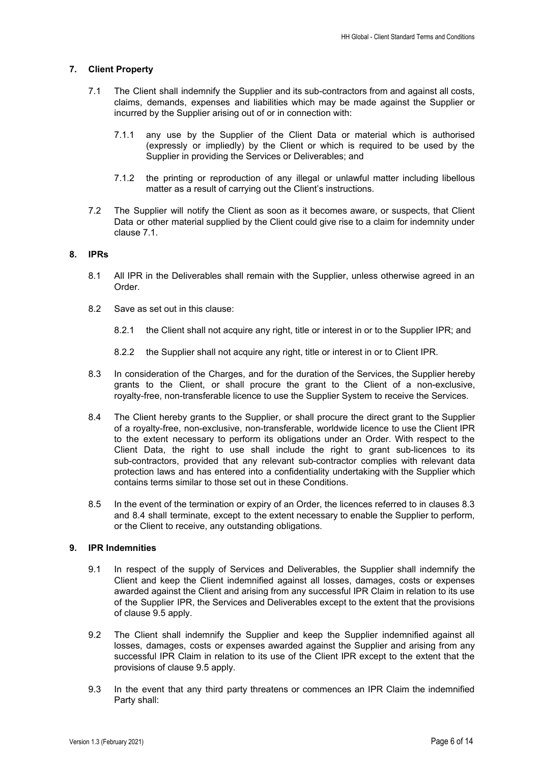# **7. Client Property**

- 7.1 The Client shall indemnify the Supplier and its sub-contractors from and against all costs, claims, demands, expenses and liabilities which may be made against the Supplier or incurred by the Supplier arising out of or in connection with:
	- 7.1.1 any use by the Supplier of the Client Data or material which is authorised (expressly or impliedly) by the Client or which is required to be used by the Supplier in providing the Services or Deliverables; and
	- 7.1.2 the printing or reproduction of any illegal or unlawful matter including libellous matter as a result of carrying out the Client's instructions.
- 7.2 The Supplier will notify the Client as soon as it becomes aware, or suspects, that Client Data or other material supplied by the Client could give rise to a claim for indemnity under clause 7.1.

## **8. IPRs**

- 8.1 All IPR in the Deliverables shall remain with the Supplier, unless otherwise agreed in an Order.
- 8.2 Save as set out in this clause:
	- 8.2.1 the Client shall not acquire any right, title or interest in or to the Supplier IPR; and
	- 8.2.2 the Supplier shall not acquire any right, title or interest in or to Client IPR.
- 8.3 In consideration of the Charges, and for the duration of the Services, the Supplier hereby grants to the Client, or shall procure the grant to the Client of a non-exclusive, royalty-free, non-transferable licence to use the Supplier System to receive the Services.
- 8.4 The Client hereby grants to the Supplier, or shall procure the direct grant to the Supplier of a royalty-free, non-exclusive, non-transferable, worldwide licence to use the Client IPR to the extent necessary to perform its obligations under an Order. With respect to the Client Data, the right to use shall include the right to grant sub-licences to its sub-contractors, provided that any relevant sub-contractor complies with relevant data protection laws and has entered into a confidentiality undertaking with the Supplier which contains terms similar to those set out in these Conditions.
- 8.5 In the event of the termination or expiry of an Order, the licences referred to in clauses 8.3 and 8.4 shall terminate, except to the extent necessary to enable the Supplier to perform, or the Client to receive, any outstanding obligations.

# **9. IPR Indemnities**

- 9.1 In respect of the supply of Services and Deliverables, the Supplier shall indemnify the Client and keep the Client indemnified against all losses, damages, costs or expenses awarded against the Client and arising from any successful IPR Claim in relation to its use of the Supplier IPR, the Services and Deliverables except to the extent that the provisions of clause 9.5 apply.
- 9.2 The Client shall indemnify the Supplier and keep the Supplier indemnified against all losses, damages, costs or expenses awarded against the Supplier and arising from any successful IPR Claim in relation to its use of the Client IPR except to the extent that the provisions of clause 9.5 apply.
- 9.3 In the event that any third party threatens or commences an IPR Claim the indemnified Party shall: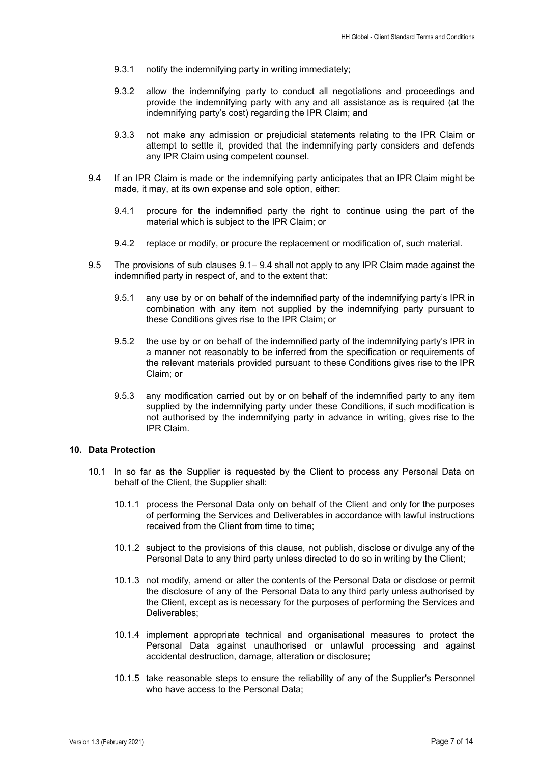- 9.3.1 notify the indemnifying party in writing immediately;
- 9.3.2 allow the indemnifying party to conduct all negotiations and proceedings and provide the indemnifying party with any and all assistance as is required (at the indemnifying party's cost) regarding the IPR Claim; and
- 9.3.3 not make any admission or prejudicial statements relating to the IPR Claim or attempt to settle it, provided that the indemnifying party considers and defends any IPR Claim using competent counsel.
- 9.4 If an IPR Claim is made or the indemnifying party anticipates that an IPR Claim might be made, it may, at its own expense and sole option, either:
	- 9.4.1 procure for the indemnified party the right to continue using the part of the material which is subject to the IPR Claim; or
	- 9.4.2 replace or modify, or procure the replacement or modification of, such material.
- 9.5 The provisions of sub clauses 9.1– 9.4 shall not apply to any IPR Claim made against the indemnified party in respect of, and to the extent that:
	- 9.5.1 any use by or on behalf of the indemnified party of the indemnifying party's IPR in combination with any item not supplied by the indemnifying party pursuant to these Conditions gives rise to the IPR Claim; or
	- 9.5.2 the use by or on behalf of the indemnified party of the indemnifying party's IPR in a manner not reasonably to be inferred from the specification or requirements of the relevant materials provided pursuant to these Conditions gives rise to the IPR Claim; or
	- 9.5.3 any modification carried out by or on behalf of the indemnified party to any item supplied by the indemnifying party under these Conditions, if such modification is not authorised by the indemnifying party in advance in writing, gives rise to the IPR Claim.

#### **10. Data Protection**

- 10.1 In so far as the Supplier is requested by the Client to process any Personal Data on behalf of the Client, the Supplier shall:
	- 10.1.1 process the Personal Data only on behalf of the Client and only for the purposes of performing the Services and Deliverables in accordance with lawful instructions received from the Client from time to time;
	- 10.1.2 subject to the provisions of this clause, not publish, disclose or divulge any of the Personal Data to any third party unless directed to do so in writing by the Client;
	- 10.1.3 not modify, amend or alter the contents of the Personal Data or disclose or permit the disclosure of any of the Personal Data to any third party unless authorised by the Client, except as is necessary for the purposes of performing the Services and Deliverables;
	- 10.1.4 implement appropriate technical and organisational measures to protect the Personal Data against unauthorised or unlawful processing and against accidental destruction, damage, alteration or disclosure;
	- 10.1.5 take reasonable steps to ensure the reliability of any of the Supplier's Personnel who have access to the Personal Data;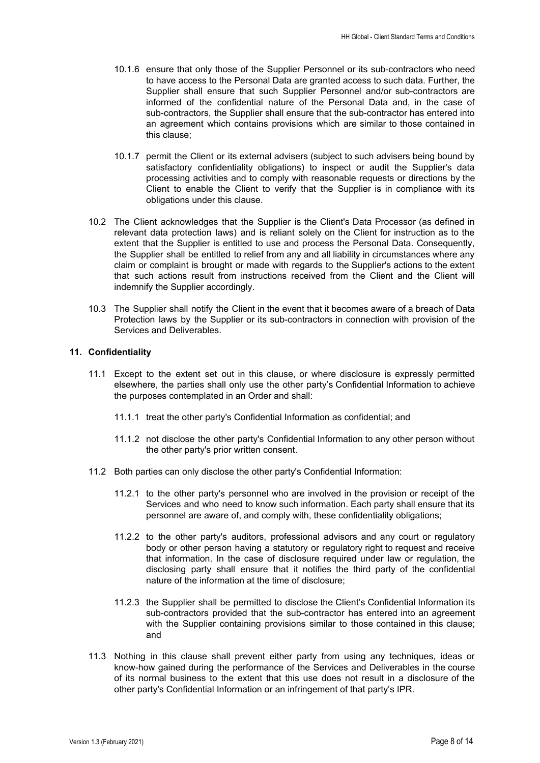- 10.1.6 ensure that only those of the Supplier Personnel or its sub-contractors who need to have access to the Personal Data are granted access to such data. Further, the Supplier shall ensure that such Supplier Personnel and/or sub-contractors are informed of the confidential nature of the Personal Data and, in the case of sub-contractors, the Supplier shall ensure that the sub-contractor has entered into an agreement which contains provisions which are similar to those contained in this clause;
- 10.1.7 permit the Client or its external advisers (subject to such advisers being bound by satisfactory confidentiality obligations) to inspect or audit the Supplier's data processing activities and to comply with reasonable requests or directions by the Client to enable the Client to verify that the Supplier is in compliance with its obligations under this clause.
- 10.2 The Client acknowledges that the Supplier is the Client's Data Processor (as defined in relevant data protection laws) and is reliant solely on the Client for instruction as to the extent that the Supplier is entitled to use and process the Personal Data. Consequently, the Supplier shall be entitled to relief from any and all liability in circumstances where any claim or complaint is brought or made with regards to the Supplier's actions to the extent that such actions result from instructions received from the Client and the Client will indemnify the Supplier accordingly.
- 10.3 The Supplier shall notify the Client in the event that it becomes aware of a breach of Data Protection laws by the Supplier or its sub-contractors in connection with provision of the Services and Deliverables.

## **11. Confidentiality**

- 11.1 Except to the extent set out in this clause, or where disclosure is expressly permitted elsewhere, the parties shall only use the other party's Confidential Information to achieve the purposes contemplated in an Order and shall:
	- 11.1.1 treat the other party's Confidential Information as confidential; and
	- 11.1.2 not disclose the other party's Confidential Information to any other person without the other party's prior written consent.
- 11.2 Both parties can only disclose the other party's Confidential Information:
	- 11.2.1 to the other party's personnel who are involved in the provision or receipt of the Services and who need to know such information. Each party shall ensure that its personnel are aware of, and comply with, these confidentiality obligations;
	- 11.2.2 to the other party's auditors, professional advisors and any court or regulatory body or other person having a statutory or regulatory right to request and receive that information. In the case of disclosure required under law or regulation, the disclosing party shall ensure that it notifies the third party of the confidential nature of the information at the time of disclosure;
	- 11.2.3 the Supplier shall be permitted to disclose the Client's Confidential Information its sub-contractors provided that the sub-contractor has entered into an agreement with the Supplier containing provisions similar to those contained in this clause; and
- 11.3 Nothing in this clause shall prevent either party from using any techniques, ideas or know-how gained during the performance of the Services and Deliverables in the course of its normal business to the extent that this use does not result in a disclosure of the other party's Confidential Information or an infringement of that party's IPR.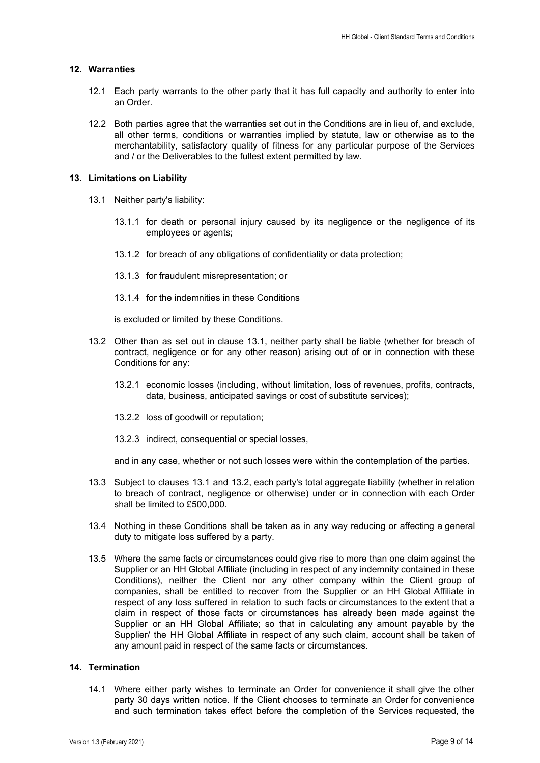## **12. Warranties**

- 12.1 Each party warrants to the other party that it has full capacity and authority to enter into an Order.
- 12.2 Both parties agree that the warranties set out in the Conditions are in lieu of, and exclude, all other terms, conditions or warranties implied by statute, law or otherwise as to the merchantability, satisfactory quality of fitness for any particular purpose of the Services and / or the Deliverables to the fullest extent permitted by law.

#### **13. Limitations on Liability**

- 13.1 Neither party's liability:
	- 13.1.1 for death or personal injury caused by its negligence or the negligence of its employees or agents;
	- 13.1.2 for breach of any obligations of confidentiality or data protection;
	- 13.1.3 for fraudulent misrepresentation; or
	- 13.1.4 for the indemnities in these Conditions

is excluded or limited by these Conditions.

- 13.2 Other than as set out in clause 13.1, neither party shall be liable (whether for breach of contract, negligence or for any other reason) arising out of or in connection with these Conditions for any:
	- 13.2.1 economic losses (including, without limitation, loss of revenues, profits, contracts, data, business, anticipated savings or cost of substitute services);
	- 13.2.2 loss of goodwill or reputation;
	- 13.2.3 indirect, consequential or special losses,

and in any case, whether or not such losses were within the contemplation of the parties.

- 13.3 Subject to clauses 13.1 and 13.2, each party's total aggregate liability (whether in relation to breach of contract, negligence or otherwise) under or in connection with each Order shall be limited to £500,000.
- 13.4 Nothing in these Conditions shall be taken as in any way reducing or affecting a general duty to mitigate loss suffered by a party.
- 13.5 Where the same facts or circumstances could give rise to more than one claim against the Supplier or an HH Global Affiliate (including in respect of any indemnity contained in these Conditions), neither the Client nor any other company within the Client group of companies, shall be entitled to recover from the Supplier or an HH Global Affiliate in respect of any loss suffered in relation to such facts or circumstances to the extent that a claim in respect of those facts or circumstances has already been made against the Supplier or an HH Global Affiliate; so that in calculating any amount payable by the Supplier/ the HH Global Affiliate in respect of any such claim, account shall be taken of any amount paid in respect of the same facts or circumstances.

# **14. Termination**

14.1 Where either party wishes to terminate an Order for convenience it shall give the other party 30 days written notice. If the Client chooses to terminate an Order for convenience and such termination takes effect before the completion of the Services requested, the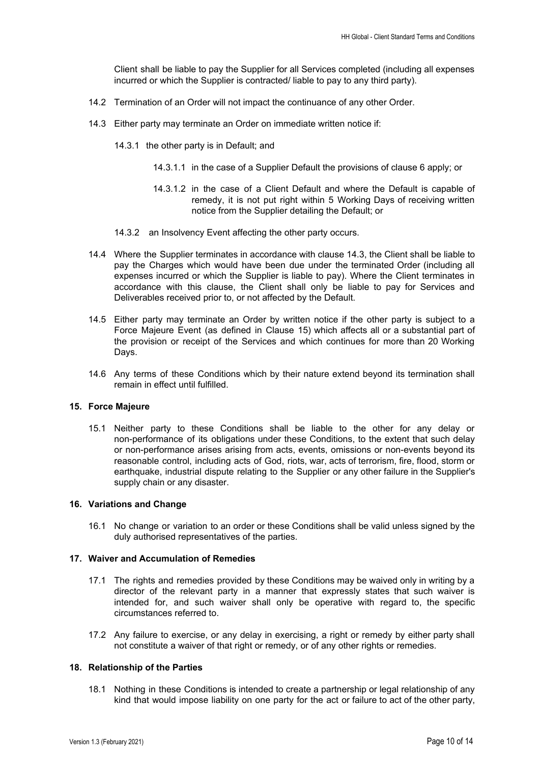Client shall be liable to pay the Supplier for all Services completed (including all expenses incurred or which the Supplier is contracted/ liable to pay to any third party).

- 14.2 Termination of an Order will not impact the continuance of any other Order.
- 14.3 Either party may terminate an Order on immediate written notice if:
	- 14.3.1 the other party is in Default; and
		- 14.3.1.1 in the case of a Supplier Default the provisions of clause 6 apply; or
		- 14.3.1.2 in the case of a Client Default and where the Default is capable of remedy, it is not put right within 5 Working Days of receiving written notice from the Supplier detailing the Default; or
	- 14.3.2 an Insolvency Event affecting the other party occurs.
- 14.4 Where the Supplier terminates in accordance with clause 14.3, the Client shall be liable to pay the Charges which would have been due under the terminated Order (including all expenses incurred or which the Supplier is liable to pay). Where the Client terminates in accordance with this clause, the Client shall only be liable to pay for Services and Deliverables received prior to, or not affected by the Default.
- 14.5 Either party may terminate an Order by written notice if the other party is subject to a Force Majeure Event (as defined in Clause 15) which affects all or a substantial part of the provision or receipt of the Services and which continues for more than 20 Working Days.
- 14.6 Any terms of these Conditions which by their nature extend beyond its termination shall remain in effect until fulfilled.

## **15. Force Majeure**

15.1 Neither party to these Conditions shall be liable to the other for any delay or non-performance of its obligations under these Conditions, to the extent that such delay or non-performance arises arising from acts, events, omissions or non-events beyond its reasonable control, including acts of God, riots, war, acts of terrorism, fire, flood, storm or earthquake, industrial dispute relating to the Supplier or any other failure in the Supplier's supply chain or any disaster.

#### **16. Variations and Change**

16.1 No change or variation to an order or these Conditions shall be valid unless signed by the duly authorised representatives of the parties.

## **17. Waiver and Accumulation of Remedies**

- 17.1 The rights and remedies provided by these Conditions may be waived only in writing by a director of the relevant party in a manner that expressly states that such waiver is intended for, and such waiver shall only be operative with regard to, the specific circumstances referred to.
- 17.2 Any failure to exercise, or any delay in exercising, a right or remedy by either party shall not constitute a waiver of that right or remedy, or of any other rights or remedies.

#### **18. Relationship of the Parties**

18.1 Nothing in these Conditions is intended to create a partnership or legal relationship of any kind that would impose liability on one party for the act or failure to act of the other party,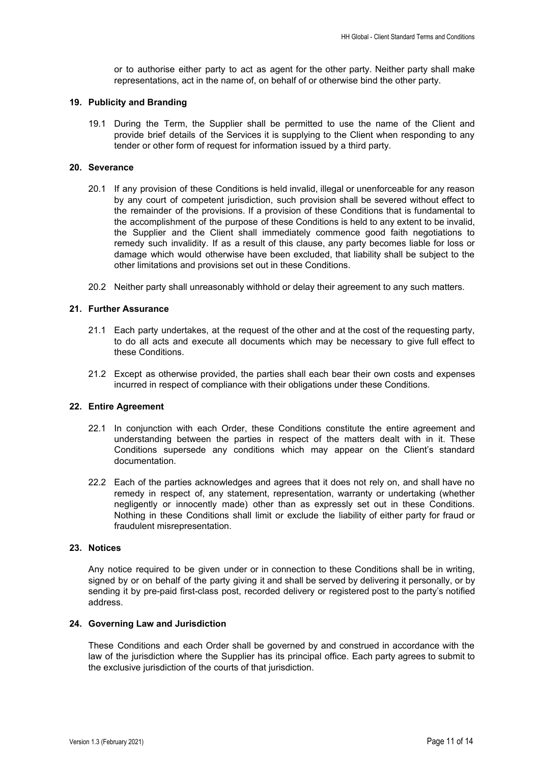or to authorise either party to act as agent for the other party. Neither party shall make representations, act in the name of, on behalf of or otherwise bind the other party.

## **19. Publicity and Branding**

19.1 During the Term, the Supplier shall be permitted to use the name of the Client and provide brief details of the Services it is supplying to the Client when responding to any tender or other form of request for information issued by a third party.

# **20. Severance**

- 20.1 If any provision of these Conditions is held invalid, illegal or unenforceable for any reason by any court of competent jurisdiction, such provision shall be severed without effect to the remainder of the provisions. If a provision of these Conditions that is fundamental to the accomplishment of the purpose of these Conditions is held to any extent to be invalid, the Supplier and the Client shall immediately commence good faith negotiations to remedy such invalidity. If as a result of this clause, any party becomes liable for loss or damage which would otherwise have been excluded, that liability shall be subject to the other limitations and provisions set out in these Conditions.
- 20.2 Neither party shall unreasonably withhold or delay their agreement to any such matters.

# **21. Further Assurance**

- 21.1 Each party undertakes, at the request of the other and at the cost of the requesting party, to do all acts and execute all documents which may be necessary to give full effect to these Conditions.
- 21.2 Except as otherwise provided, the parties shall each bear their own costs and expenses incurred in respect of compliance with their obligations under these Conditions.

## **22. Entire Agreement**

- 22.1 In conjunction with each Order, these Conditions constitute the entire agreement and understanding between the parties in respect of the matters dealt with in it. These Conditions supersede any conditions which may appear on the Client's standard documentation.
- 22.2 Each of the parties acknowledges and agrees that it does not rely on, and shall have no remedy in respect of, any statement, representation, warranty or undertaking (whether negligently or innocently made) other than as expressly set out in these Conditions. Nothing in these Conditions shall limit or exclude the liability of either party for fraud or fraudulent misrepresentation.

# **23. Notices**

Any notice required to be given under or in connection to these Conditions shall be in writing, signed by or on behalf of the party giving it and shall be served by delivering it personally, or by sending it by pre-paid first-class post, recorded delivery or registered post to the party's notified address.

## **24. Governing Law and Jurisdiction**

These Conditions and each Order shall be governed by and construed in accordance with the law of the jurisdiction where the Supplier has its principal office. Each party agrees to submit to the exclusive jurisdiction of the courts of that jurisdiction.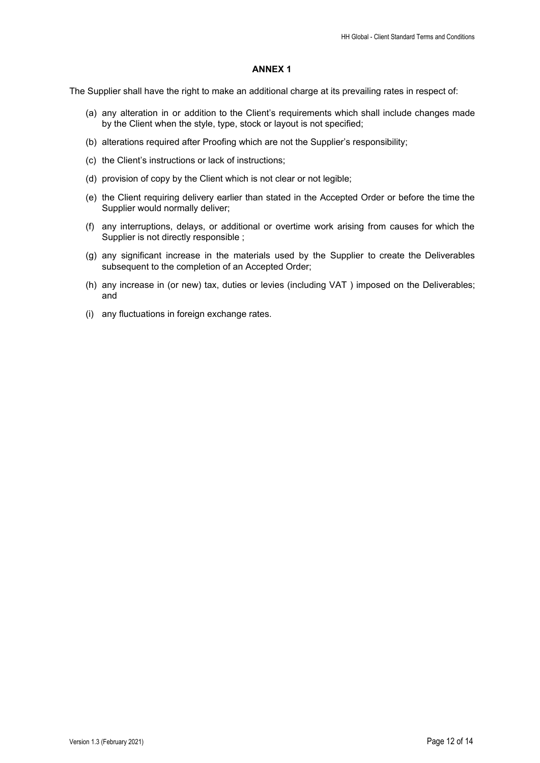## **ANNEX 1**

The Supplier shall have the right to make an additional charge at its prevailing rates in respect of:

- (a) any alteration in or addition to the Client's requirements which shall include changes made by the Client when the style, type, stock or layout is not specified;
- (b) alterations required after Proofing which are not the Supplier's responsibility;
- (c) the Client's instructions or lack of instructions;
- (d) provision of copy by the Client which is not clear or not legible;
- (e) the Client requiring delivery earlier than stated in the Accepted Order or before the time the Supplier would normally deliver;
- (f) any interruptions, delays, or additional or overtime work arising from causes for which the Supplier is not directly responsible ;
- (g) any significant increase in the materials used by the Supplier to create the Deliverables subsequent to the completion of an Accepted Order;
- (h) any increase in (or new) tax, duties or levies (including VAT ) imposed on the Deliverables; and
- (i) any fluctuations in foreign exchange rates.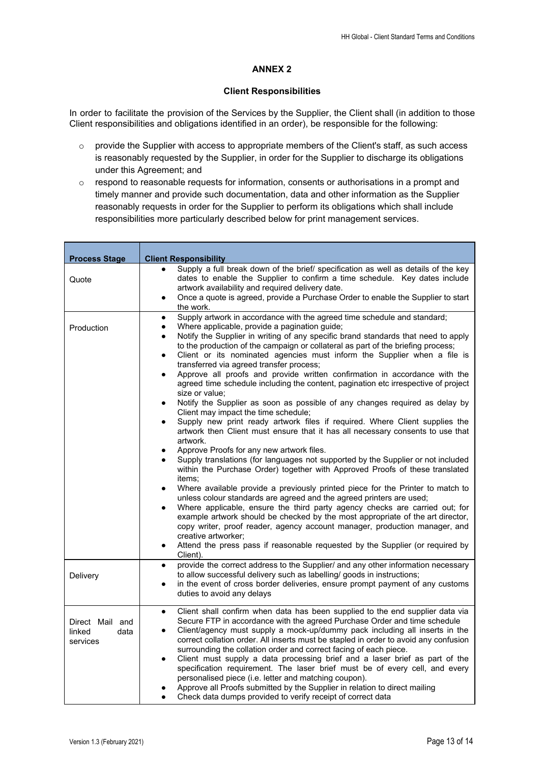# **ANNEX 2**

# **Client Responsibilities**

In order to facilitate the provision of the Services by the Supplier, the Client shall (in addition to those Client responsibilities and obligations identified in an order), be responsible for the following:

- o provide the Supplier with access to appropriate members of the Client's staff, as such access is reasonably requested by the Supplier, in order for the Supplier to discharge its obligations under this Agreement; and
- $\circ$  respond to reasonable requests for information, consents or authorisations in a prompt and timely manner and provide such documentation, data and other information as the Supplier reasonably requests in order for the Supplier to perform its obligations which shall include responsibilities more particularly described below for print management services.

| <b>Process Stage</b>                          | <b>Client Responsibility</b>                                                                                                                                                                                                                                                                                                                                                                                                                                                                                                                                                                                                                                                                                                                                                                                                                                                                                                                                                                                                                                                                                                                                                                                                                                                                                                                                                                                                                                                                                                                                                                                                                                                                                                                                                                                        |
|-----------------------------------------------|---------------------------------------------------------------------------------------------------------------------------------------------------------------------------------------------------------------------------------------------------------------------------------------------------------------------------------------------------------------------------------------------------------------------------------------------------------------------------------------------------------------------------------------------------------------------------------------------------------------------------------------------------------------------------------------------------------------------------------------------------------------------------------------------------------------------------------------------------------------------------------------------------------------------------------------------------------------------------------------------------------------------------------------------------------------------------------------------------------------------------------------------------------------------------------------------------------------------------------------------------------------------------------------------------------------------------------------------------------------------------------------------------------------------------------------------------------------------------------------------------------------------------------------------------------------------------------------------------------------------------------------------------------------------------------------------------------------------------------------------------------------------------------------------------------------------|
| Quote                                         | Supply a full break down of the brief/ specification as well as details of the key<br>$\bullet$<br>dates to enable the Supplier to confirm a time schedule. Key dates include<br>artwork availability and required delivery date.<br>Once a quote is agreed, provide a Purchase Order to enable the Supplier to start<br>$\bullet$<br>the work.                                                                                                                                                                                                                                                                                                                                                                                                                                                                                                                                                                                                                                                                                                                                                                                                                                                                                                                                                                                                                                                                                                                                                                                                                                                                                                                                                                                                                                                                     |
| Production                                    | Supply artwork in accordance with the agreed time schedule and standard;<br>$\bullet$<br>Where applicable, provide a pagination guide;<br>$\bullet$<br>Notify the Supplier in writing of any specific brand standards that need to apply<br>$\bullet$<br>to the production of the campaign or collateral as part of the briefing process;<br>Client or its nominated agencies must inform the Supplier when a file is<br>$\bullet$<br>transferred via agreed transfer process;<br>Approve all proofs and provide written confirmation in accordance with the<br>$\bullet$<br>agreed time schedule including the content, pagination etc irrespective of project<br>size or value;<br>Notify the Supplier as soon as possible of any changes required as delay by<br>$\bullet$<br>Client may impact the time schedule;<br>Supply new print ready artwork files if required. Where Client supplies the<br>٠<br>artwork then Client must ensure that it has all necessary consents to use that<br>artwork.<br>Approve Proofs for any new artwork files.<br>$\bullet$<br>Supply translations (for languages not supported by the Supplier or not included<br>within the Purchase Order) together with Approved Proofs of these translated<br>items;<br>Where available provide a previously printed piece for the Printer to match to<br>$\bullet$<br>unless colour standards are agreed and the agreed printers are used;<br>Where applicable, ensure the third party agency checks are carried out; for<br>$\bullet$<br>example artwork should be checked by the most appropriate of the art director,<br>copy writer, proof reader, agency account manager, production manager, and<br>creative artworker;<br>Attend the press pass if reasonable requested by the Supplier (or required by<br>$\bullet$<br>Client). |
| Delivery                                      | provide the correct address to the Supplier/ and any other information necessary<br>$\bullet$<br>to allow successful delivery such as labelling/ goods in instructions;<br>in the event of cross border deliveries, ensure prompt payment of any customs<br>$\bullet$<br>duties to avoid any delays                                                                                                                                                                                                                                                                                                                                                                                                                                                                                                                                                                                                                                                                                                                                                                                                                                                                                                                                                                                                                                                                                                                                                                                                                                                                                                                                                                                                                                                                                                                 |
| Direct Mail and<br>linked<br>data<br>services | Client shall confirm when data has been supplied to the end supplier data via<br>$\bullet$<br>Secure FTP in accordance with the agreed Purchase Order and time schedule<br>Client/agency must supply a mock-up/dummy pack including all inserts in the<br>$\bullet$<br>correct collation order. All inserts must be stapled in order to avoid any confusion<br>surrounding the collation order and correct facing of each piece.<br>Client must supply a data processing brief and a laser brief as part of the<br>$\bullet$<br>specification requirement. The laser brief must be of every cell, and every<br>personalised piece (i.e. letter and matching coupon).<br>Approve all Proofs submitted by the Supplier in relation to direct mailing<br>Check data dumps provided to verify receipt of correct data<br>$\bullet$                                                                                                                                                                                                                                                                                                                                                                                                                                                                                                                                                                                                                                                                                                                                                                                                                                                                                                                                                                                      |